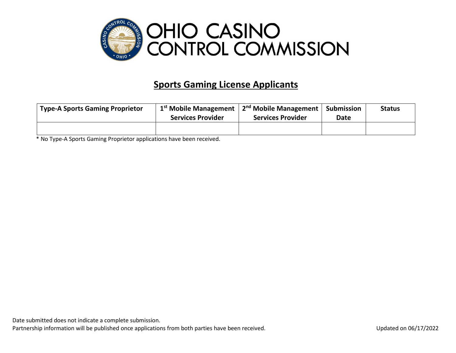

## **Sports Gaming License Applicants**

| <b>Type-A Sports Gaming Proprietor</b> | $1st$ Mobile Management  | 2 <sup>nd</sup> Mobile Management | Submission  | <b>Status</b> |
|----------------------------------------|--------------------------|-----------------------------------|-------------|---------------|
|                                        | <b>Services Provider</b> | <b>Services Provider</b>          | <b>Date</b> |               |
|                                        |                          |                                   |             |               |

\* No Type-A Sports Gaming Proprietor applications have been received.

Date submitted does not indicate a complete submission.

Partnership information will be published once applications from both parties have been received. Updated on 06/17/2022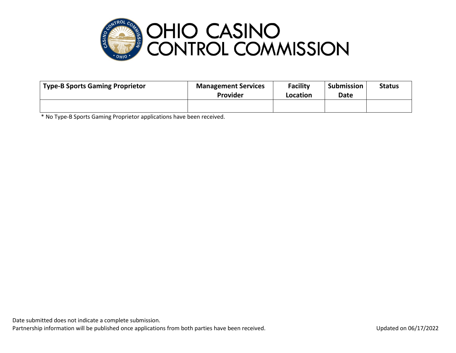

| Type-B Sports Gaming Proprietor | <b>Management Services</b><br><b>Provider</b> | <b>Facility</b><br>Location | Submission<br><b>Date</b> | <b>Status</b> |
|---------------------------------|-----------------------------------------------|-----------------------------|---------------------------|---------------|
|                                 |                                               |                             |                           |               |

\* No Type-B Sports Gaming Proprietor applications have been received.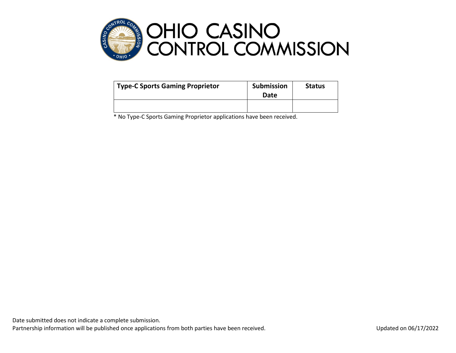

| <b>Type-C Sports Gaming Proprietor</b> | <b>Submission</b><br><b>Date</b> |  |
|----------------------------------------|----------------------------------|--|
|                                        |                                  |  |

\* No Type-C Sports Gaming Proprietor applications have been received.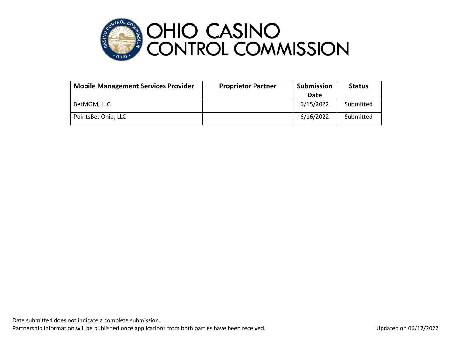

| <b>Mobile Management Services Provider</b> | <b>Proprietor Partner</b> | <b>Submission</b> | <b>Status</b> |
|--------------------------------------------|---------------------------|-------------------|---------------|
|                                            |                           | Date              |               |
| BetMGM, LLC                                |                           | 6/15/2022         | Submitted     |
| PointsBet Ohio, LLC                        |                           | 6/16/2022         | Submitted     |